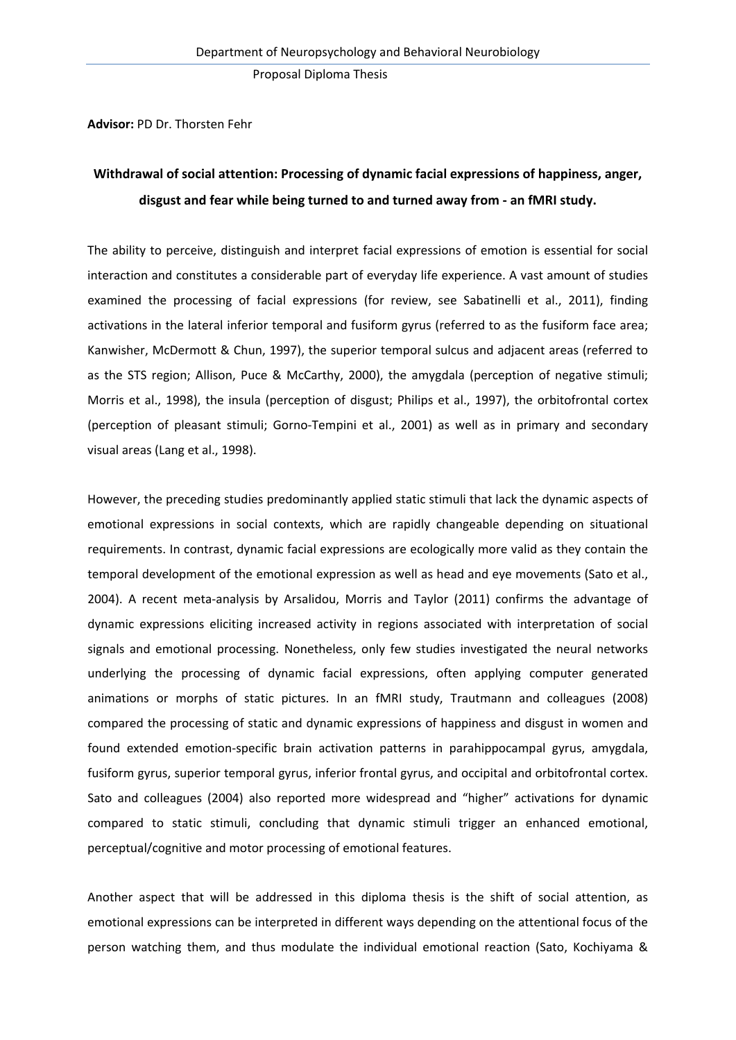**Advisor:** PD Dr. Thorsten Fehr

## **Withdrawal of social attention: Processing of dynamic facial expressions of happiness, anger, disgust and fear while being turned to and turned away from ‐ an fMRI study.**

The ability to perceive, distinguish and interpret facial expressions of emotion is essential for social interaction and constitutes a considerable part of everyday life experience. A vast amount of studies examined the processing of facial expressions (for review, see Sabatinelli et al., 2011), finding activations in the lateral inferior temporal and fusiform gyrus (referred to as the fusiform face area; Kanwisher, McDermott & Chun, 1997), the superior temporal sulcus and adjacent areas (referred to as the STS region; Allison, Puce & McCarthy, 2000), the amygdala (perception of negative stimuli; Morris et al., 1998), the insula (perception of disgust; Philips et al., 1997), the orbitofrontal cortex (perception of pleasant stimuli; Gorno‐Tempini et al., 2001) as well as in primary and secondary visual areas (Lang et al., 1998).

However, the preceding studies predominantly applied static stimuli that lack the dynamic aspects of emotional expressions in social contexts, which are rapidly changeable depending on situational requirements. In contrast, dynamic facial expressions are ecologically more valid as they contain the temporal development of the emotional expression as well as head and eye movements (Sato et al., 2004). A recent meta-analysis by Arsalidou, Morris and Taylor (2011) confirms the advantage of dynamic expressions eliciting increased activity in regions associated with interpretation of social signals and emotional processing. Nonetheless, only few studies investigated the neural networks underlying the processing of dynamic facial expressions, often applying computer generated animations or morphs of static pictures. In an fMRI study, Trautmann and colleagues (2008) compared the processing of static and dynamic expressions of happiness and disgust in women and found extended emotion‐specific brain activation patterns in parahippocampal gyrus, amygdala, fusiform gyrus, superior temporal gyrus, inferior frontal gyrus, and occipital and orbitofrontal cortex. Sato and colleagues (2004) also reported more widespread and "higher" activations for dynamic compared to static stimuli, concluding that dynamic stimuli trigger an enhanced emotional, perceptual/cognitive and motor processing of emotional features.

Another aspect that will be addressed in this diploma thesis is the shift of social attention, as emotional expressions can be interpreted in different ways depending on the attentional focus of the person watching them, and thus modulate the individual emotional reaction (Sato, Kochiyama &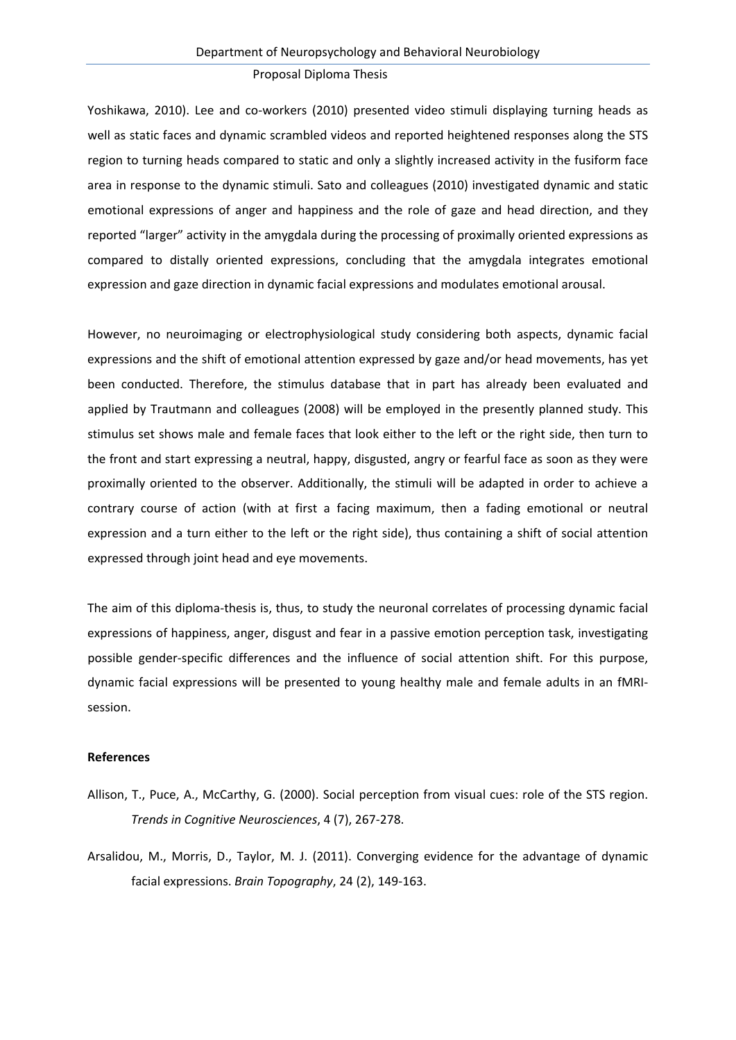Yoshikawa, 2010). Lee and co-workers (2010) presented video stimuli displaying turning heads as well as static faces and dynamic scrambled videos and reported heightened responses along the STS region to turning heads compared to static and only a slightly increased activity in the fusiform face area in response to the dynamic stimuli. Sato and colleagues (2010) investigated dynamic and static emotional expressions of anger and happiness and the role of gaze and head direction, and they reported "larger" activity in the amygdala during the processing of proximally oriented expressions as compared to distally oriented expressions, concluding that the amygdala integrates emotional expression and gaze direction in dynamic facial expressions and modulates emotional arousal.

However, no neuroimaging or electrophysiological study considering both aspects, dynamic facial expressions and the shift of emotional attention expressed by gaze and/or head movements, has yet been conducted. Therefore, the stimulus database that in part has already been evaluated and applied by Trautmann and colleagues (2008) will be employed in the presently planned study. This stimulus set shows male and female faces that look either to the left or the right side, then turn to the front and start expressing a neutral, happy, disgusted, angry or fearful face as soon as they were proximally oriented to the observer. Additionally, the stimuli will be adapted in order to achieve a contrary course of action (with at first a facing maximum, then a fading emotional or neutral expression and a turn either to the left or the right side), thus containing a shift of social attention expressed through joint head and eye movements.

The aim of this diploma-thesis is, thus, to study the neuronal correlates of processing dynamic facial expressions of happiness, anger, disgust and fear in a passive emotion perception task, investigating possible gender-specific differences and the influence of social attention shift. For this purpose, dynamic facial expressions will be presented to young healthy male and female adults in an fMRI‐ session.

## **References**

- Allison, T., Puce, A., McCarthy, G. (2000). Social perception from visual cues: role of the STS region. *Trends in Cognitive Neurosciences*, 4 (7), 267‐278.
- Arsalidou, M., Morris, D., Taylor, M. J. (2011). Converging evidence for the advantage of dynamic facial expressions. *Brain Topography*, 24 (2), 149‐163.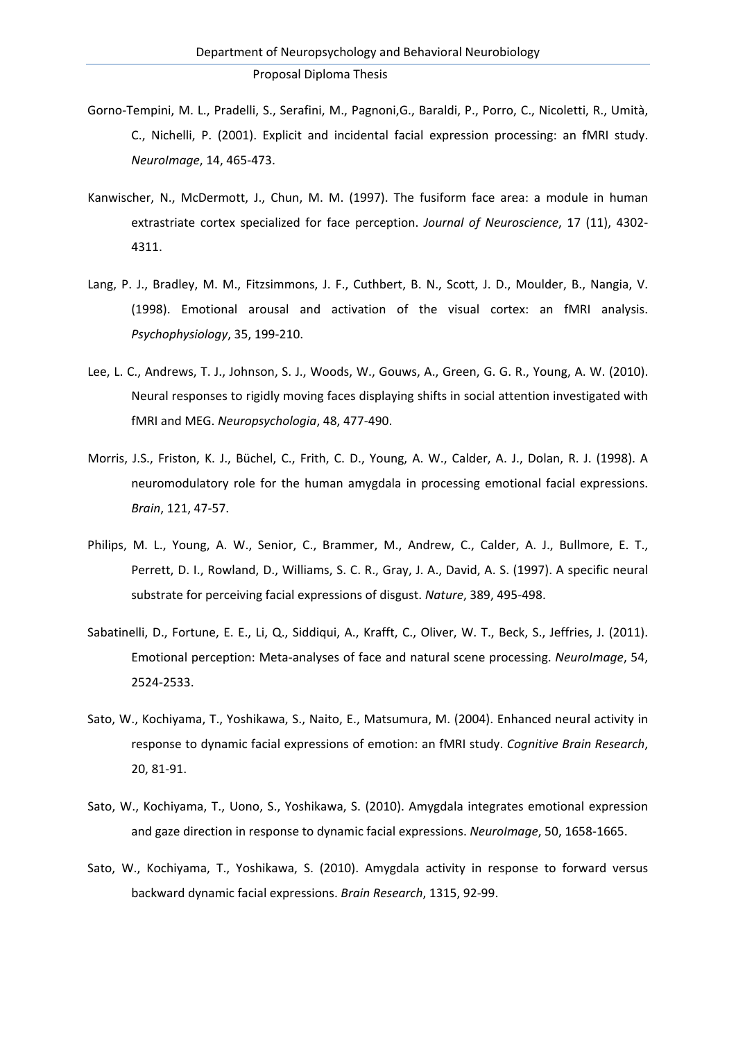- Gorno‐Tempini, M. L., Pradelli, S., Serafini, M., Pagnoni,G., Baraldi, P., Porro, C., Nicoletti, R., Umità, C., Nichelli, P. (2001). Explicit and incidental facial expression processing: an fMRI study. *NeuroImage*, 14, 465‐473.
- Kanwischer, N., McDermott, J., Chun, M. M. (1997). The fusiform face area: a module in human extrastriate cortex specialized for face perception. *Journal of Neuroscience*, 17 (11), 4302‐ 4311.
- Lang, P. J., Bradley, M. M., Fitzsimmons, J. F., Cuthbert, B. N., Scott, J. D., Moulder, B., Nangia, V. (1998). Emotional arousal and activation of the visual cortex: an fMRI analysis. *Psychophysiology*, 35, 199‐210.
- Lee, L. C., Andrews, T. J., Johnson, S. J., Woods, W., Gouws, A., Green, G. G. R., Young, A. W. (2010). Neural responses to rigidly moving faces displaying shifts in social attention investigated with fMRI and MEG. *Neuropsychologia*, 48, 477‐490.
- Morris, J.S., Friston, K. J., Büchel, C., Frith, C. D., Young, A. W., Calder, A. J., Dolan, R. J. (1998). A neuromodulatory role for the human amygdala in processing emotional facial expressions. *Brain*, 121, 47‐57.
- Philips, M. L., Young, A. W., Senior, C., Brammer, M., Andrew, C., Calder, A. J., Bullmore, E. T., Perrett, D. I., Rowland, D., Williams, S. C. R., Gray, J. A., David, A. S. (1997). A specific neural substrate for perceiving facial expressions of disgust. *Nature*, 389, 495‐498.
- Sabatinelli, D., Fortune, E. E., Li, Q., Siddiqui, A., Krafft, C., Oliver, W. T., Beck, S., Jeffries, J. (2011). Emotional perception: Meta‐analyses of face and natural scene processing. *NeuroImage*, 54, 2524‐2533.
- Sato, W., Kochiyama, T., Yoshikawa, S., Naito, E., Matsumura, M. (2004). Enhanced neural activity in response to dynamic facial expressions of emotion: an fMRI study. *Cognitive Brain Research*, 20, 81‐91.
- Sato, W., Kochiyama, T., Uono, S., Yoshikawa, S. (2010). Amygdala integrates emotional expression and gaze direction in response to dynamic facial expressions. *NeuroImage*, 50, 1658‐1665.
- Sato, W., Kochiyama, T., Yoshikawa, S. (2010). Amygdala activity in response to forward versus backward dynamic facial expressions. *Brain Research*, 1315, 92‐99.